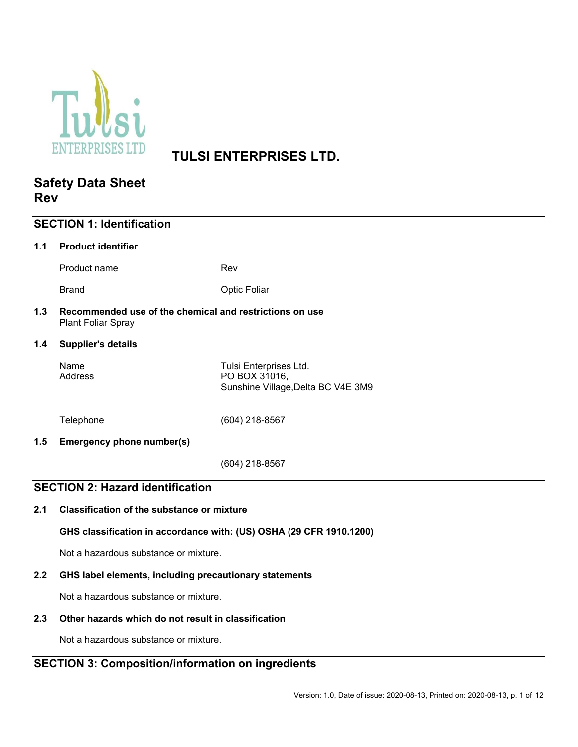

# **TULSI ENTERPRISES LTD.**

## **Safety Data Sheet Rev**

| <b>SECTION 1: Identification</b>        |                                                                                                                          |                                                                               |  |
|-----------------------------------------|--------------------------------------------------------------------------------------------------------------------------|-------------------------------------------------------------------------------|--|
| 1.1                                     | <b>Product identifier</b>                                                                                                |                                                                               |  |
|                                         | Product name                                                                                                             | Rev                                                                           |  |
|                                         | <b>Brand</b>                                                                                                             | <b>Optic Foliar</b>                                                           |  |
| 1.3                                     | Recommended use of the chemical and restrictions on use<br><b>Plant Foliar Spray</b>                                     |                                                                               |  |
| 1.4                                     | <b>Supplier's details</b>                                                                                                |                                                                               |  |
|                                         | Name<br>Address                                                                                                          | Tulsi Enterprises Ltd.<br>PO BOX 31016,<br>Sunshine Village, Delta BC V4E 3M9 |  |
|                                         | Telephone                                                                                                                | (604) 218-8567                                                                |  |
| 1.5                                     | Emergency phone number(s)                                                                                                |                                                                               |  |
|                                         |                                                                                                                          | $(604)$ 218-8567                                                              |  |
| <b>SECTION 2: Hazard identification</b> |                                                                                                                          |                                                                               |  |
| 2.1                                     | <b>Classification of the substance or mixture</b><br>GHS classification in accordance with: (US) OSHA (29 CFR 1910.1200) |                                                                               |  |
|                                         |                                                                                                                          |                                                                               |  |

Not a hazardous substance or mixture.

## **2.2 GHS label elements, including precautionary statements**

Not a hazardous substance or mixture.

## **2.3 Other hazards which do not result in classification**

Not a hazardous substance or mixture.

## **SECTION 3: Composition/information on ingredients**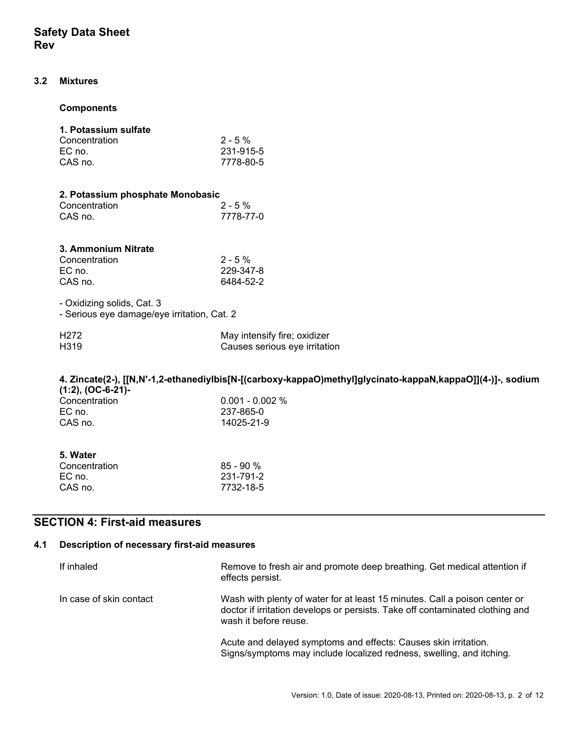### **3.2 Mixtures**

#### **Components**

#### **1. Potassium sulfate**  $2.5%$

| <b>CONCENTRATION</b> | $2 - 170$ |
|----------------------|-----------|
| EC no.               | 231-915-5 |
| CAS no.              | 7778-80-5 |

|               | 2. Potassium phosphate Monobasic |  |  |
|---------------|----------------------------------|--|--|
| Concentration | $2 - 5\%$                        |  |  |
| CAS no.       | 7778-77-0                        |  |  |

## **3. Ammonium Nitrate**

| Concentration | $2 - 5\%$ |
|---------------|-----------|
| EC no.        | 229-347-8 |
| CAS no.       | 6484-52-2 |

- Oxidizing solids, Cat. 3 Serious eye damage/eye irritation, Cat. 2

| $\sim$ octions cycluminage/cyclimation, only $\epsilon$ |  |
|---------------------------------------------------------|--|
|                                                         |  |

| H <sub>272</sub>  | May intensify fire; oxidizer  |
|-------------------|-------------------------------|
| H <sub>3</sub> 19 | Causes serious eye irritation |

## **4. Zincate(2-), [[N,N'-1,2-ethanediylbis[N-[(carboxy-kappaO)methyl]glycinato-kappaN,kappaO]](4-)]-, sodium (1:2), (OC-6-21)-**   $0.001 - 0.002 %$

| <b>UUITUUITUUUI</b> | $0.001$ $0.002$ $\land$ |
|---------------------|-------------------------|
| EC no.              | 237-865-0               |
| CAS no.             | 14025-21-9              |
|                     |                         |

| $85 - 90%$ |
|------------|
| 231-791-2  |
| 7732-18-5  |
|            |

## **SECTION 4: First-aid measures**

### **4.1 Description of necessary first-aid measures**

| If inhaled              | Remove to fresh air and promote deep breathing. Get medical attention if<br>effects persist.                                                                                         |
|-------------------------|--------------------------------------------------------------------------------------------------------------------------------------------------------------------------------------|
| In case of skin contact | Wash with plenty of water for at least 15 minutes. Call a poison center or<br>doctor if irritation develops or persists. Take off contaminated clothing and<br>wash it before reuse. |
|                         | Acute and delayed symptoms and effects: Causes skin irritation.<br>Signs/symptoms may include localized redness, swelling, and itching.                                              |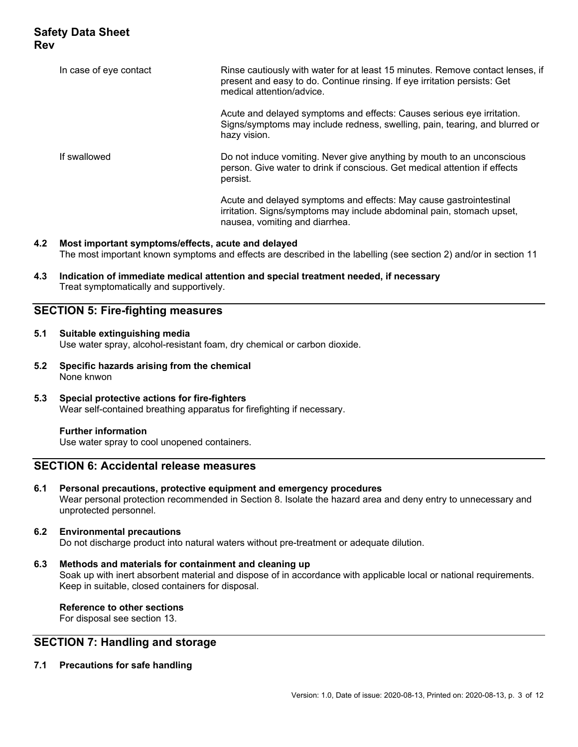| In case of eye contact | Rinse cautiously with water for at least 15 minutes. Remove contact lenses, if<br>present and easy to do. Continue rinsing. If eye irritation persists: Get<br>medical attention/advice. |
|------------------------|------------------------------------------------------------------------------------------------------------------------------------------------------------------------------------------|
|                        | Acute and delayed symptoms and effects: Causes serious eye irritation.<br>Signs/symptoms may include redness, swelling, pain, tearing, and blurred or<br>hazy vision.                    |
| If swallowed           | Do not induce vomiting. Never give anything by mouth to an unconscious<br>person. Give water to drink if conscious. Get medical attention if effects<br>persist.                         |
|                        | Acute and delayed symptoms and effects: May cause gastrointestinal<br>irritation. Signs/symptoms may include abdominal pain, stomach upset,<br>nausea, vomiting and diarrhea.            |

- **4.2 Most important symptoms/effects, acute and delayed**  The most important known symptoms and effects are described in the labelling (see section 2) and/or in section 11
- **4.3 Indication of immediate medical attention and special treatment needed, if necessary**  Treat symptomatically and supportively.

## **SECTION 5: Fire-fighting measures**

- **5.1 Suitable extinguishing media**  Use water spray, alcohol-resistant foam, dry chemical or carbon dioxide.
- **5.2 Specific hazards arising from the chemical**  None knwon
- **5.3 Special protective actions for fire-fighters**  Wear self-contained breathing apparatus for firefighting if necessary.

### **Further information**

Use water spray to cool unopened containers.

## **SECTION 6: Accidental release measures**

**6.1 Personal precautions, protective equipment and emergency procedures**  Wear personal protection recommended in Section 8. Isolate the hazard area and deny entry to unnecessary and unprotected personnel.

### **6.2 Environmental precautions**

Do not discharge product into natural waters without pre-treatment or adequate dilution.

#### **6.3 Methods and materials for containment and cleaning up**

Soak up with inert absorbent material and dispose of in accordance with applicable local or national requirements. Keep in suitable, closed containers for disposal.

 **Reference to other sections**  For disposal see section 13.

## **SECTION 7: Handling and storage**

**7.1 Precautions for safe handling**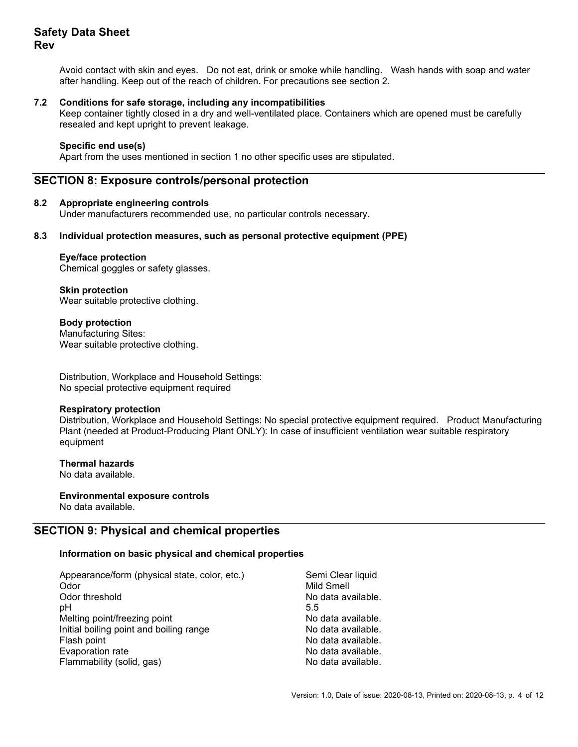Avoid contact with skin and eyes. Do not eat, drink or smoke while handling. Wash hands with soap and water after handling. Keep out of the reach of children. For precautions see section 2.

#### **7.2 Conditions for safe storage, including any incompatibilities**

Keep container tightly closed in a dry and well-ventilated place. Containers which are opened must be carefully resealed and kept upright to prevent leakage.

#### **Specific end use(s)**

Apart from the uses mentioned in section 1 no other specific uses are stipulated.

## **SECTION 8: Exposure controls/personal protection**

#### **8.2 Appropriate engineering controls**

Under manufacturers recommended use, no particular controls necessary.

#### **8.3 Individual protection measures, such as personal protective equipment (PPE)**

#### **Eye/face protection**

Chemical goggles or safety glasses.

 **Skin protection**  Wear suitable protective clothing.

 **Body protection**  Manufacturing Sites: Wear suitable protective clothing.

Distribution, Workplace and Household Settings: No special protective equipment required

#### **Respiratory protection**

Distribution, Workplace and Household Settings: No special protective equipment required. Product Manufacturing Plant (needed at Product-Producing Plant ONLY): In case of insufficient ventilation wear suitable respiratory equipment

 **Thermal hazards** 

No data available.

 **Environmental exposure controls**  No data available.

## **SECTION 9: Physical and chemical properties**

#### **Information on basic physical and chemical properties**

Appearance/form (physical state, color, etc.) Semi Clear liquid Odor Mild Smell  $pH$  5.5 Melting point/freezing point No data available. Initial boiling point and boiling range No data available. Flash point **No data available.** The No data available. Evaporation rate **No assume that the Contract Contract Contract Contract Contract Contract Contract Contract Contract Contract Contract Contract Contract Contract Contract Contract Contract Contract Contract Contract Contr** Flammability (solid, gas) No data available.

No data available.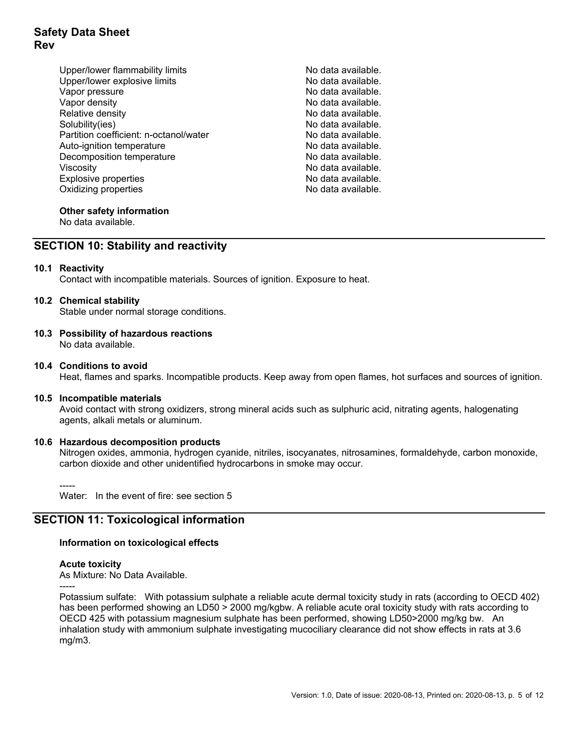- Upper/lower flammability limits No data available. Upper/lower explosive limits No data available. Vapor pressure No data available. Vapor density No data available. Relative density **No assume that it is a set of the Contract of Contract Ave** No data available. Solubility(ies) No data available. Partition coefficient: n-octanol/water No data available.<br>Auto-ignition temperature Auto-ignition temperature Decomposition temperature No data available. Viscosity<br>Explosive properties example and the set of the No data available.<br>No data available. Explosive properties Oxidizing properties and the state of the No data available.
	-

## **Other safety information**

No data available.

## **SECTION 10: Stability and reactivity**

#### **10.1 Reactivity**

Contact with incompatible materials. Sources of ignition. Exposure to heat.

#### **10.2 Chemical stability**

Stable under normal storage conditions.

**10.3 Possibility of hazardous reactions**  No data available.

#### **10.4 Conditions to avoid**

Heat, flames and sparks. Incompatible products. Keep away from open flames, hot surfaces and sources of ignition.

#### **10.5 Incompatible materials**

Avoid contact with strong oxidizers, strong mineral acids such as sulphuric acid, nitrating agents, halogenating agents, alkali metals or aluminum.

### **10.6 Hazardous decomposition products**

Nitrogen oxides, ammonia, hydrogen cyanide, nitriles, isocyanates, nitrosamines, formaldehyde, carbon monoxide, carbon dioxide and other unidentified hydrocarbons in smoke may occur.

-----

-----

Water: In the event of fire: see section 5

## **SECTION 11: Toxicological information**

#### **Information on toxicological effects**

#### **Acute toxicity**

As Mixture: No Data Available.

Potassium sulfate: With potassium sulphate a reliable acute dermal toxicity study in rats (according to OECD 402) has been performed showing an LD50 > 2000 mg/kgbw. A reliable acute oral toxicity study with rats according to OECD 425 with potassium magnesium sulphate has been performed, showing LD50>2000 mg/kg bw. An inhalation study with ammonium sulphate investigating mucociliary clearance did not show effects in rats at 3.6 mg/m3.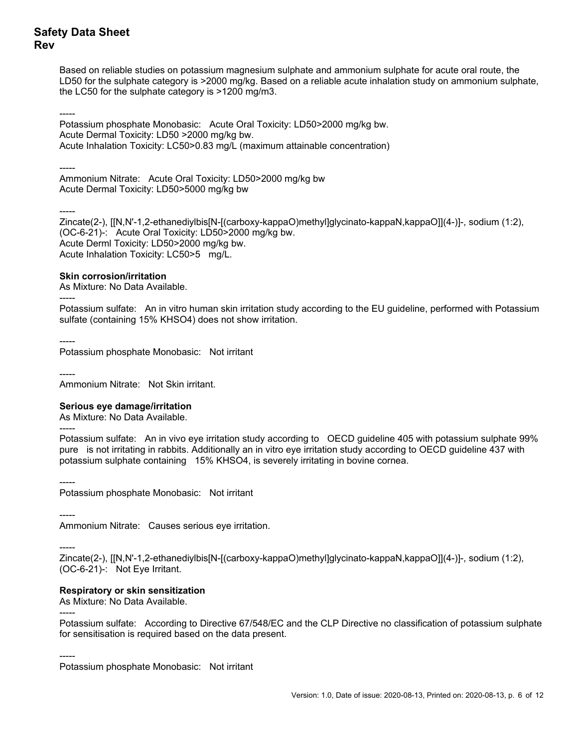Based on reliable studies on potassium magnesium sulphate and ammonium sulphate for acute oral route, the LD50 for the sulphate category is >2000 mg/kg. Based on a reliable acute inhalation study on ammonium sulphate, the LC50 for the sulphate category is >1200 mg/m3.

----- Potassium phosphate Monobasic: Acute Oral Toxicity: LD50>2000 mg/kg bw. Acute Dermal Toxicity: LD50 >2000 mg/kg bw. Acute Inhalation Toxicity: LC50>0.83 mg/L (maximum attainable concentration)

-----

Ammonium Nitrate: Acute Oral Toxicity: LD50>2000 mg/kg bw Acute Dermal Toxicity: LD50>5000 mg/kg bw

-----

Zincate(2-), [[N,N'-1,2-ethanediylbis[N-[(carboxy-kappaO)methyl]glycinato-kappaN,kappaO]](4-)]-, sodium (1:2), (OC-6-21)-: Acute Oral Toxicity: LD50>2000 mg/kg bw. Acute Derml Toxicity: LD50>2000 mg/kg bw. Acute Inhalation Toxicity: LC50>5 mg/L.

### **Skin corrosion/irritation**

As Mixture: No Data Available.

----- Potassium sulfate: An in vitro human skin irritation study according to the EU guideline, performed with Potassium sulfate (containing 15% KHSO4) does not show irritation.

----- Potassium phosphate Monobasic: Not irritant

----- Ammonium Nitrate: Not Skin irritant.

## **Serious eye damage/irritation**

As Mixture: No Data Available.

-----

Potassium sulfate: An in vivo eye irritation study according to OECD guideline 405 with potassium sulphate 99% pure is not irritating in rabbits. Additionally an in vitro eye irritation study according to OECD guideline 437 with potassium sulphate containing 15% KHSO4, is severely irritating in bovine cornea.

----- Potassium phosphate Monobasic: Not irritant

-----

Ammonium Nitrate: Causes serious eye irritation.

-----

Zincate(2-), [[N,N'-1,2-ethanediylbis[N-[(carboxy-kappaO)methyl]glycinato-kappaN,kappaO]](4-)]-, sodium (1:2), (OC-6-21)-: Not Eye Irritant.

## **Respiratory or skin sensitization**

As Mixture: No Data Available. -----

Potassium sulfate: According to Directive 67/548/EC and the CLP Directive no classification of potassium sulphate for sensitisation is required based on the data present.

----- Potassium phosphate Monobasic: Not irritant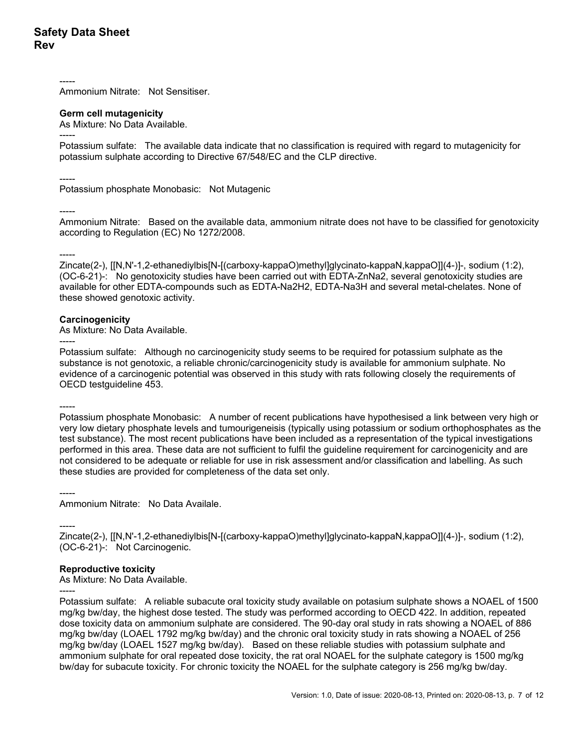----- Ammonium Nitrate: Not Sensitiser.

### **Germ cell mutagenicity**

As Mixture: No Data Available.

-----

Potassium sulfate: The available data indicate that no classification is required with regard to mutagenicity for potassium sulphate according to Directive 67/548/EC and the CLP directive.

----- Potassium phosphate Monobasic: Not Mutagenic

-----

Ammonium Nitrate: Based on the available data, ammonium nitrate does not have to be classified for genotoxicity according to Regulation (EC) No 1272/2008.

-----

Zincate(2-), [[N,N'-1,2-ethanediylbis[N-[(carboxy-kappaO)methyl]glycinato-kappaN,kappaO]](4-)]-, sodium (1:2), (OC-6-21)-: No genotoxicity studies have been carried out with EDTA-ZnNa2, several genotoxicity studies are available for other EDTA-compounds such as EDTA-Na2H2, EDTA-Na3H and several metal-chelates. None of these showed genotoxic activity.

### **Carcinogenicity**

As Mixture: No Data Available.

----- Potassium sulfate: Although no carcinogenicity study seems to be required for potassium sulphate as the substance is not genotoxic, a reliable chronic/carcinogenicity study is available for ammonium sulphate. No evidence of a carcinogenic potential was observed in this study with rats following closely the requirements of OECD testguideline 453.

-----

Potassium phosphate Monobasic: A number of recent publications have hypothesised a link between very high or very low dietary phosphate levels and tumourigeneisis (typically using potassium or sodium orthophosphates as the test substance). The most recent publications have been included as a representation of the typical investigations performed in this area. These data are not sufficient to fulfil the guideline requirement for carcinogenicity and are not considered to be adequate or reliable for use in risk assessment and/or classification and labelling. As such these studies are provided for completeness of the data set only.

----- Ammonium Nitrate: No Data Availale.

----- Zincate(2-), [[N,N'-1,2-ethanediylbis[N-[(carboxy-kappaO)methyl]glycinato-kappaN,kappaO]](4-)]-, sodium (1:2), (OC-6-21)-: Not Carcinogenic.

### **Reproductive toxicity**

As Mixture: No Data Available.

----- Potassium sulfate: A reliable subacute oral toxicity study available on potasium sulphate shows a NOAEL of 1500 mg/kg bw/day, the highest dose tested. The study was performed according to OECD 422. In addition, repeated dose toxicity data on ammonium sulphate are considered. The 90-day oral study in rats showing a NOAEL of 886 mg/kg bw/day (LOAEL 1792 mg/kg bw/day) and the chronic oral toxicity study in rats showing a NOAEL of 256 mg/kg bw/day (LOAEL 1527 mg/kg bw/day). Based on these reliable studies with potassium sulphate and ammonium sulphate for oral repeated dose toxicity, the rat oral NOAEL for the sulphate category is 1500 mg/kg bw/day for subacute toxicity. For chronic toxicity the NOAEL for the sulphate category is 256 mg/kg bw/day.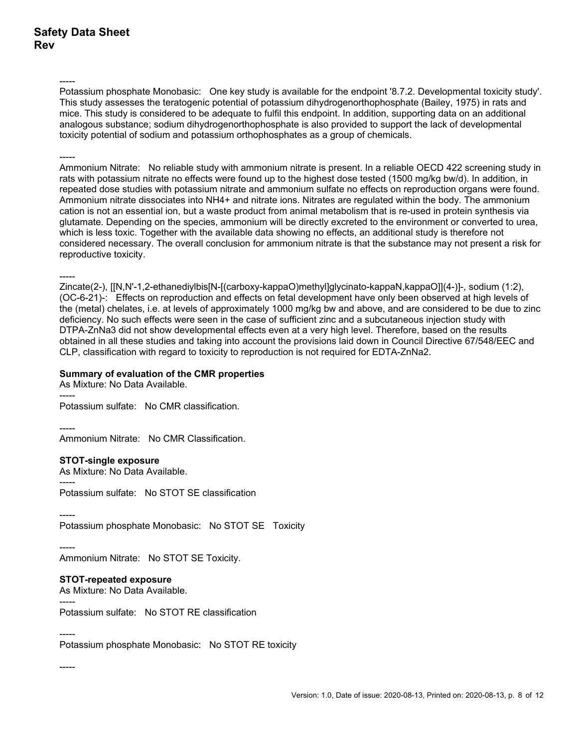-----

Potassium phosphate Monobasic: One key study is available for the endpoint '8.7.2. Developmental toxicity study'. This study assesses the teratogenic potential of potassium dihydrogenorthophosphate (Bailey, 1975) in rats and mice. This study is considered to be adequate to fulfil this endpoint. In addition, supporting data on an additional analogous substance; sodium dihydrogenorthophosphate is also provided to support the lack of developmental toxicity potential of sodium and potassium orthophosphates as a group of chemicals.

#### -----

Ammonium Nitrate: No reliable study with ammonium nitrate is present. In a reliable OECD 422 screening study in rats with potassium nitrate no effects were found up to the highest dose tested (1500 mg/kg bw/d). In addition, in repeated dose studies with potassium nitrate and ammonium sulfate no effects on reproduction organs were found. Ammonium nitrate dissociates into NH4+ and nitrate ions. Nitrates are regulated within the body. The ammonium cation is not an essential ion, but a waste product from animal metabolism that is re-used in protein synthesis via glutamate. Depending on the species, ammonium will be directly excreted to the environment or converted to urea, which is less toxic. Together with the available data showing no effects, an additional study is therefore not considered necessary. The overall conclusion for ammonium nitrate is that the substance may not present a risk for reproductive toxicity.

-----

Zincate(2-), [[N,N'-1,2-ethanediylbis[N-[(carboxy-kappaO)methyl]glycinato-kappaN,kappaO]](4-)]-, sodium (1:2), (OC-6-21)-: Effects on reproduction and effects on fetal development have only been observed at high levels of the (metal) chelates, i.e. at levels of approximately 1000 mg/kg bw and above, and are considered to be due to zinc deficiency. No such effects were seen in the case of sufficient zinc and a subcutaneous injection study with DTPA-ZnNa3 did not show developmental effects even at a very high level. Therefore, based on the results obtained in all these studies and taking into account the provisions laid down in Council Directive 67/548/EEC and CLP, classification with regard to toxicity to reproduction is not required for EDTA-ZnNa2.

### **Summary of evaluation of the CMR properties**

As Mixture: No Data Available. -----

Potassium sulfate: No CMR classification.

----- Ammonium Nitrate: No CMR Classification.

### **STOT-single exposure**

As Mixture: No Data Available.

Potassium sulfate: No STOT SE classification

-----

-----

Potassium phosphate Monobasic: No STOT SE Toxicity

----- Ammonium Nitrate: No STOT SE Toxicity.

## **STOT-repeated exposure**

As Mixture: No Data Available.

----- Potassium sulfate: No STOT RE classification

-----

Potassium phosphate Monobasic: No STOT RE toxicity

-----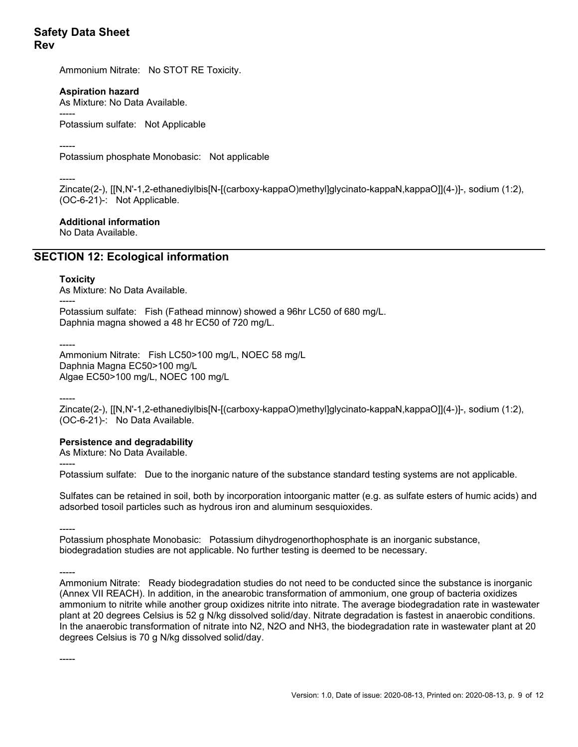Ammonium Nitrate: No STOT RE Toxicity.

### **Aspiration hazard**

As Mixture: No Data Available.

----- Potassium sulfate: Not Applicable

-----

Potassium phosphate Monobasic: Not applicable

----- Zincate(2-), [[N,N'-1,2-ethanediylbis[N-[(carboxy-kappaO)methyl]glycinato-kappaN,kappaO]](4-)]-, sodium (1:2), (OC-6-21)-: Not Applicable.

### **Additional information**

No Data Available.

## **SECTION 12: Ecological information**

### **Toxicity**

As Mixture: No Data Available.

----- Potassium sulfate: Fish (Fathead minnow) showed a 96hr LC50 of 680 mg/L. Daphnia magna showed a 48 hr EC50 of 720 mg/L.

-----

Ammonium Nitrate: Fish LC50>100 mg/L, NOEC 58 mg/L Daphnia Magna EC50>100 mg/L Algae EC50>100 mg/L, NOEC 100 mg/L

-----

Zincate(2-), [[N,N'-1,2-ethanediylbis[N-[(carboxy-kappaO)methyl]glycinato-kappaN,kappaO]](4-)]-, sodium (1:2), (OC-6-21)-: No Data Available.

## **Persistence and degradability**

As Mixture: No Data Available.

----- Potassium sulfate: Due to the inorganic nature of the substance standard testing systems are not applicable.

Sulfates can be retained in soil, both by incorporation intoorganic matter (e.g. as sulfate esters of humic acids) and adsorbed tosoil particles such as hydrous iron and aluminum sesquioxides.

----- Potassium phosphate Monobasic: Potassium dihydrogenorthophosphate is an inorganic substance, biodegradation studies are not applicable. No further testing is deemed to be necessary.

-----

-----

Ammonium Nitrate: Ready biodegradation studies do not need to be conducted since the substance is inorganic (Annex VII REACH). In addition, in the anearobic transformation of ammonium, one group of bacteria oxidizes ammonium to nitrite while another group oxidizes nitrite into nitrate. The average biodegradation rate in wastewater plant at 20 degrees Celsius is 52 g N/kg dissolved solid/day. Nitrate degradation is fastest in anaerobic conditions. In the anaerobic transformation of nitrate into N2, N2O and NH3, the biodegradation rate in wastewater plant at 20 degrees Celsius is 70 g N/kg dissolved solid/day.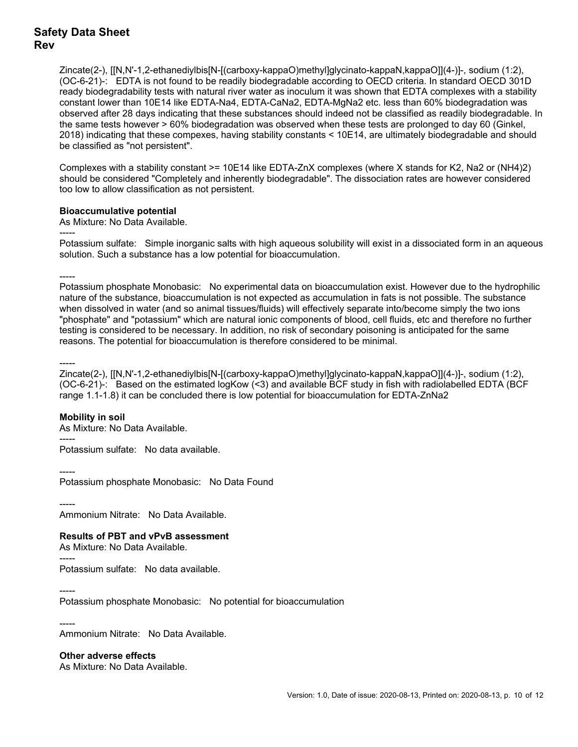Zincate(2-), [[N,N'-1,2-ethanediylbis[N-[(carboxy-kappaO)methyl]glycinato-kappaN,kappaO]](4-)]-, sodium (1:2), (OC-6-21)-: EDTA is not found to be readily biodegradable according to OECD criteria. In standard OECD 301D ready biodegradability tests with natural river water as inoculum it was shown that EDTA complexes with a stability constant lower than 10E14 like EDTA-Na4, EDTA-CaNa2, EDTA-MgNa2 etc. less than 60% biodegradation was observed after 28 days indicating that these substances should indeed not be classified as readily biodegradable. In the same tests however > 60% biodegradation was observed when these tests are prolonged to day 60 (Ginkel, 2018) indicating that these compexes, having stability constants < 10E14, are ultimately biodegradable and should be classified as "not persistent".

Complexes with a stability constant >= 10E14 like EDTA-ZnX complexes (where X stands for K2, Na2 or (NH4)2) should be considered "Completely and inherently biodegradable". The dissociation rates are however considered too low to allow classification as not persistent.

#### **Bioaccumulative potential**

As Mixture: No Data Available.

Potassium sulfate: Simple inorganic salts with high aqueous solubility will exist in a dissociated form in an aqueous solution. Such a substance has a low potential for bioaccumulation.

-----

-----

Potassium phosphate Monobasic: No experimental data on bioaccumulation exist. However due to the hydrophilic nature of the substance, bioaccumulation is not expected as accumulation in fats is not possible. The substance when dissolved in water (and so animal tissues/fluids) will effectively separate into/become simply the two ions "phosphate" and "potassium" which are natural ionic components of blood, cell fluids, etc and therefore no further testing is considered to be necessary. In addition, no risk of secondary poisoning is anticipated for the same reasons. The potential for bioaccumulation is therefore considered to be minimal.

-----

Zincate(2-), [[N,N'-1,2-ethanediylbis[N-[(carboxy-kappaO)methyl]glycinato-kappaN,kappaO]](4-)]-, sodium (1:2), (OC-6-21)-: Based on the estimated logKow (<3) and available BCF study in fish with radiolabelled EDTA (BCF range 1.1-1.8) it can be concluded there is low potential for bioaccumulation for EDTA-ZnNa2

### **Mobility in soil**

As Mixture: No Data Available. ----- Potassium sulfate: No data available.

----- Potassium phosphate Monobasic: No Data Found

----- Ammonium Nitrate: No Data Available.

## **Results of PBT and vPvB assessment**

As Mixture: No Data Available.

----- Potassium sulfate: No data available.

----- Potassium phosphate Monobasic: No potential for bioaccumulation

#### -----

Ammonium Nitrate: No Data Available.

 **Other adverse effects** 

As Mixture: No Data Available.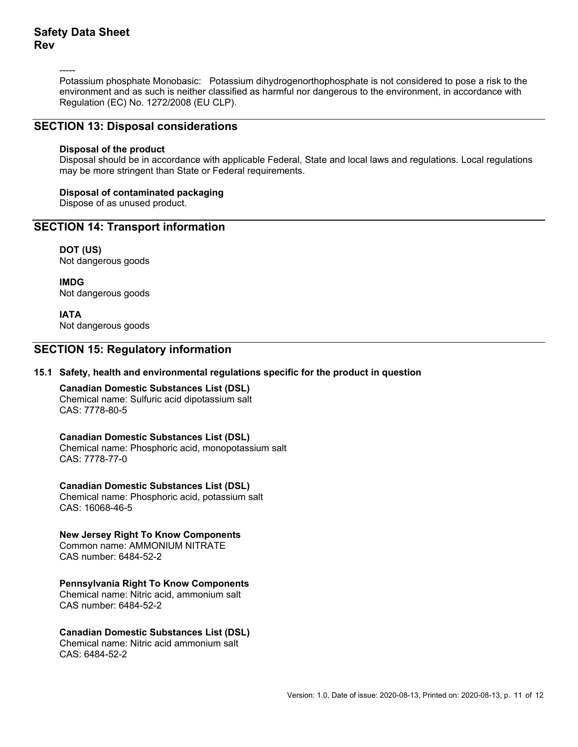-----

Potassium phosphate Monobasic: Potassium dihydrogenorthophosphate is not considered to pose a risk to the environment and as such is neither classified as harmful nor dangerous to the environment, in accordance with Regulation (EC) No. 1272/2008 (EU CLP).

## **SECTION 13: Disposal considerations**

#### **Disposal of the product**

Disposal should be in accordance with applicable Federal, State and local laws and regulations. Local regulations may be more stringent than State or Federal requirements.

#### **Disposal of contaminated packaging**

Dispose of as unused product.

## **SECTION 14: Transport information**

 **DOT (US)**  Not dangerous goods

 **IMDG**  Not dangerous goods

 **IATA**  Not dangerous goods

### **SECTION 15: Regulatory information**

### **15.1 Safety, health and environmental regulations specific for the product in question**

 **Canadian Domestic Substances List (DSL)**  Chemical name: Sulfuric acid dipotassium salt CAS: 7778-80-5

 **Canadian Domestic Substances List (DSL)**  Chemical name: Phosphoric acid, monopotassium salt CAS: 7778-77-0

 **Canadian Domestic Substances List (DSL)**  Chemical name: Phosphoric acid, potassium salt CAS: 16068-46-5

 **New Jersey Right To Know Components**  Common name: AMMONIUM NITRATE

CAS number: 6484-52-2

### **Pennsylvania Right To Know Components**

Chemical name: Nitric acid, ammonium salt CAS number: 6484-52-2

## **Canadian Domestic Substances List (DSL)**

Chemical name: Nitric acid ammonium salt CAS: 6484-52-2